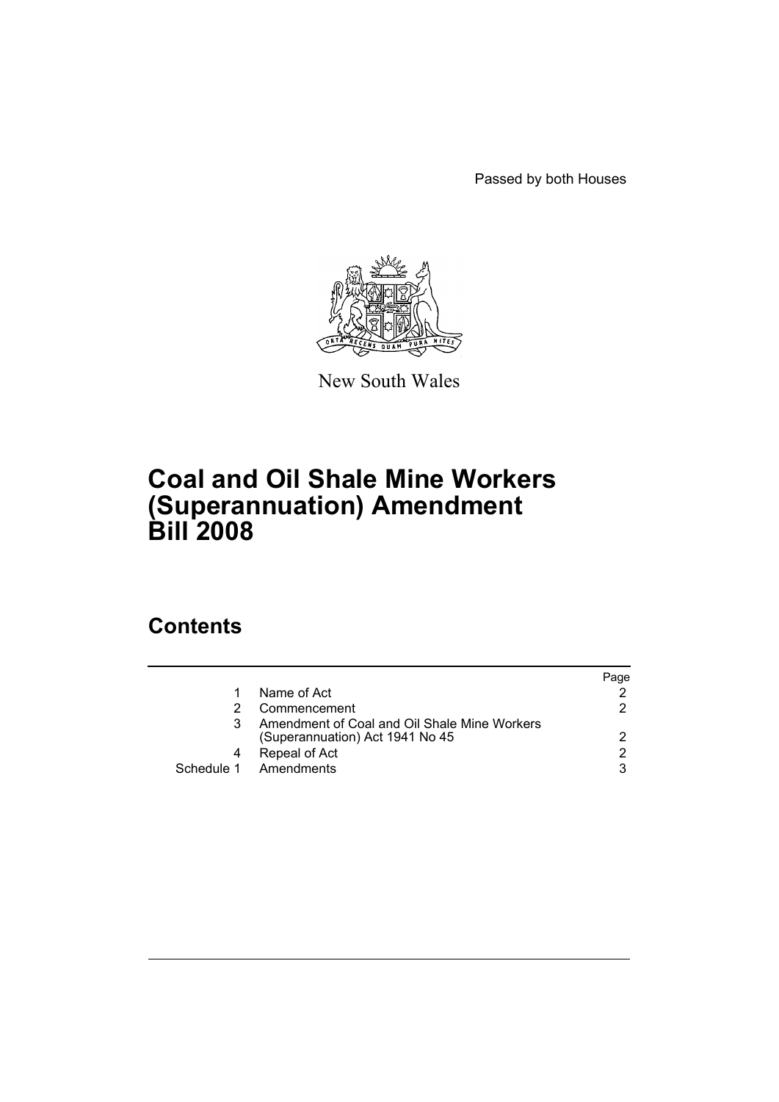Passed by both Houses



New South Wales

# **Coal and Oil Shale Mine Workers (Superannuation) Amendment Bill 2008**

# **Contents**

|                                                                                 | Paqe |
|---------------------------------------------------------------------------------|------|
| Name of Act                                                                     |      |
| Commencement                                                                    | 2    |
| Amendment of Coal and Oil Shale Mine Workers<br>(Superannuation) Act 1941 No 45 | 2    |
| Repeal of Act                                                                   | 2    |
| Schedule 1 Amendments                                                           | 3    |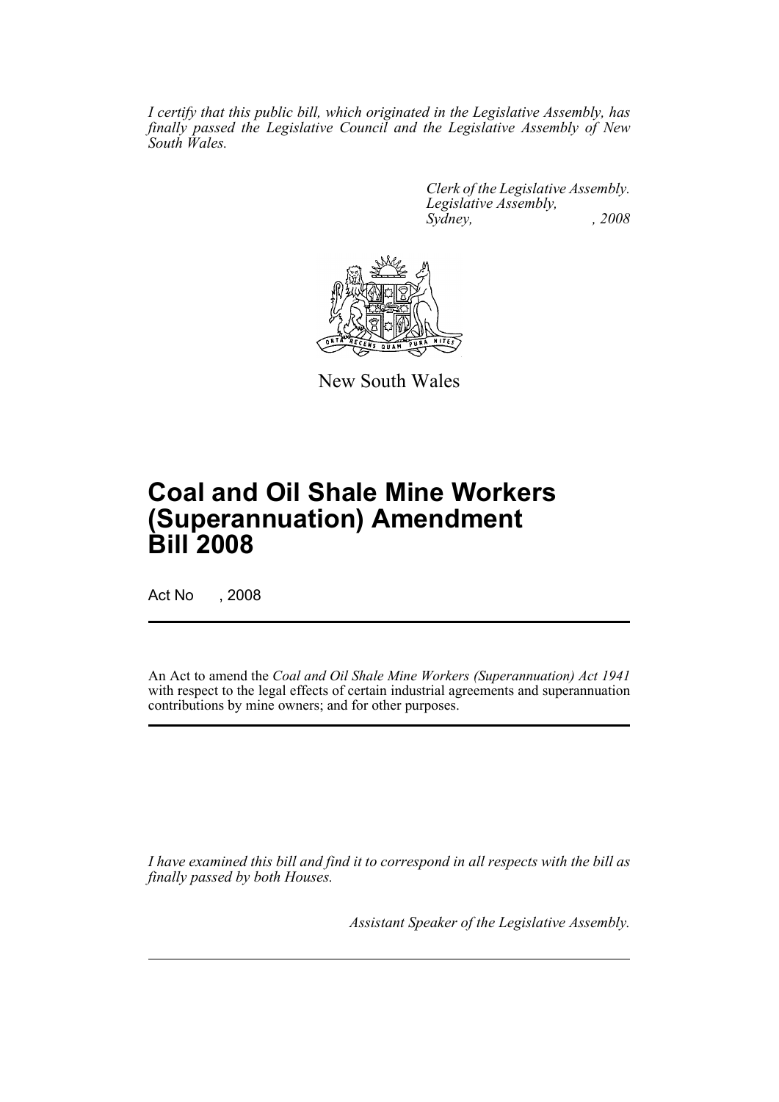*I certify that this public bill, which originated in the Legislative Assembly, has finally passed the Legislative Council and the Legislative Assembly of New South Wales.*

> *Clerk of the Legislative Assembly. Legislative Assembly, Sydney, , 2008*



New South Wales

# **Coal and Oil Shale Mine Workers (Superannuation) Amendment Bill 2008**

Act No , 2008

An Act to amend the *Coal and Oil Shale Mine Workers (Superannuation) Act 1941* with respect to the legal effects of certain industrial agreements and superannuation contributions by mine owners; and for other purposes.

*I have examined this bill and find it to correspond in all respects with the bill as finally passed by both Houses.*

*Assistant Speaker of the Legislative Assembly.*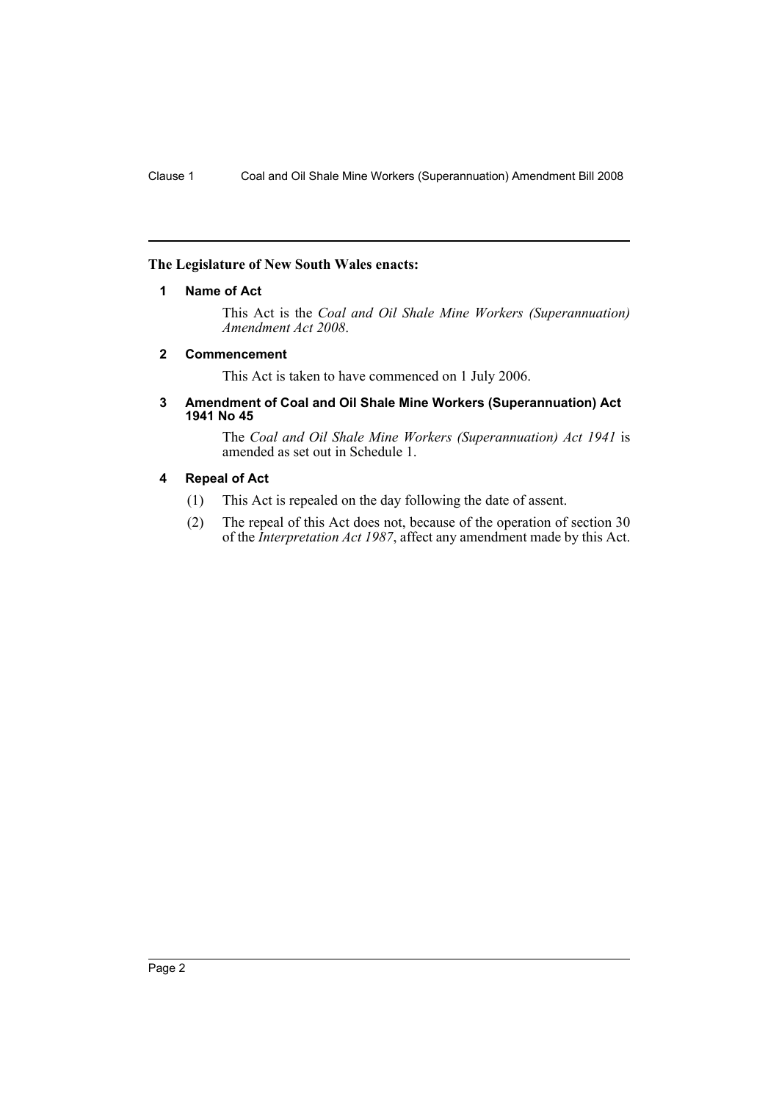# <span id="page-2-0"></span>**The Legislature of New South Wales enacts:**

## **1 Name of Act**

This Act is the *Coal and Oil Shale Mine Workers (Superannuation) Amendment Act 2008*.

# <span id="page-2-1"></span>**2 Commencement**

This Act is taken to have commenced on 1 July 2006.

### <span id="page-2-2"></span>**3 Amendment of Coal and Oil Shale Mine Workers (Superannuation) Act 1941 No 45**

The *Coal and Oil Shale Mine Workers (Superannuation) Act 1941* is amended as set out in Schedule 1.

## <span id="page-2-3"></span>**4 Repeal of Act**

- (1) This Act is repealed on the day following the date of assent.
- (2) The repeal of this Act does not, because of the operation of section 30 of the *Interpretation Act 1987*, affect any amendment made by this Act.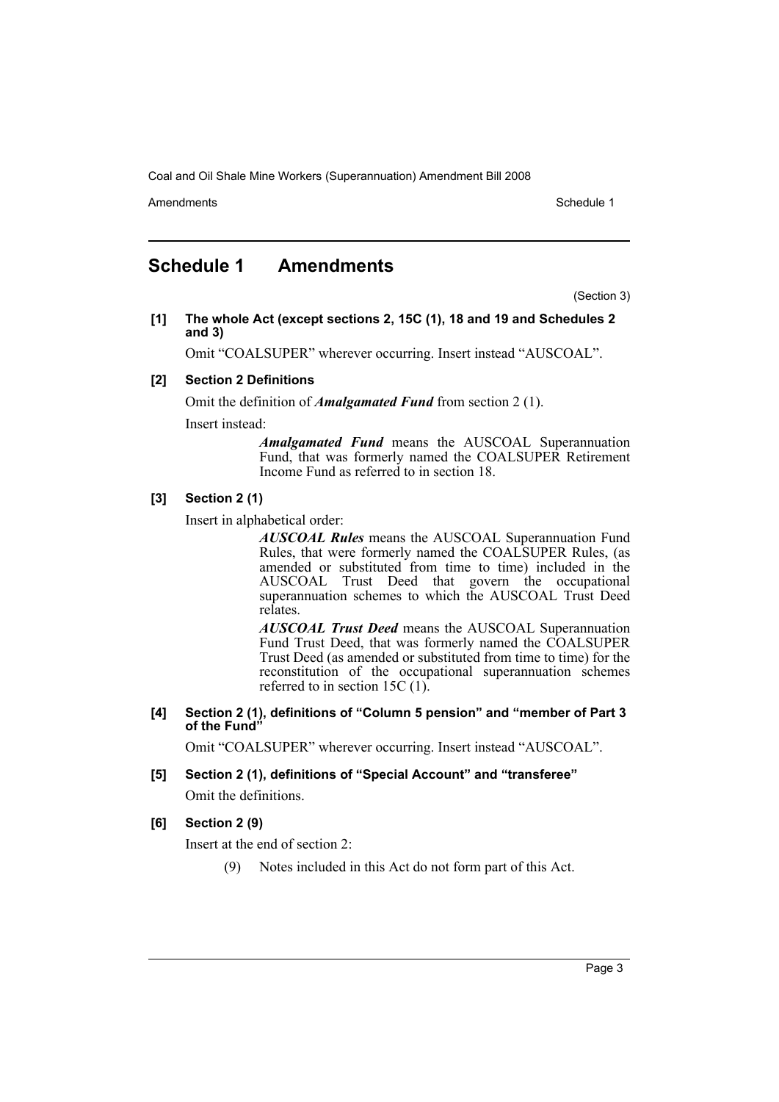Amendments **Amendments** Schedule 1

# <span id="page-3-0"></span>**Schedule 1 Amendments**

(Section 3)

**[1] The whole Act (except sections 2, 15C (1), 18 and 19 and Schedules 2 and 3)**

Omit "COALSUPER" wherever occurring. Insert instead "AUSCOAL".

#### **[2] Section 2 Definitions**

Omit the definition of *Amalgamated Fund* from section 2 (1).

Insert instead:

*Amalgamated Fund* means the AUSCOAL Superannuation Fund, that was formerly named the COALSUPER Retirement Income Fund as referred to in section 18.

#### **[3] Section 2 (1)**

Insert in alphabetical order:

*AUSCOAL Rules* means the AUSCOAL Superannuation Fund Rules, that were formerly named the COALSUPER Rules, (as amended or substituted from time to time) included in the AUSCOAL Trust Deed that govern the occupational superannuation schemes to which the AUSCOAL Trust Deed relates.

*AUSCOAL Trust Deed* means the AUSCOAL Superannuation Fund Trust Deed, that was formerly named the COALSUPER Trust Deed (as amended or substituted from time to time) for the reconstitution of the occupational superannuation schemes referred to in section 15C (1).

**[4] Section 2 (1), definitions of "Column 5 pension" and "member of Part 3 of the Fund"**

Omit "COALSUPER" wherever occurring. Insert instead "AUSCOAL".

# **[5] Section 2 (1), definitions of "Special Account" and "transferee"**

Omit the definitions.

### **[6] Section 2 (9)**

Insert at the end of section 2:

(9) Notes included in this Act do not form part of this Act.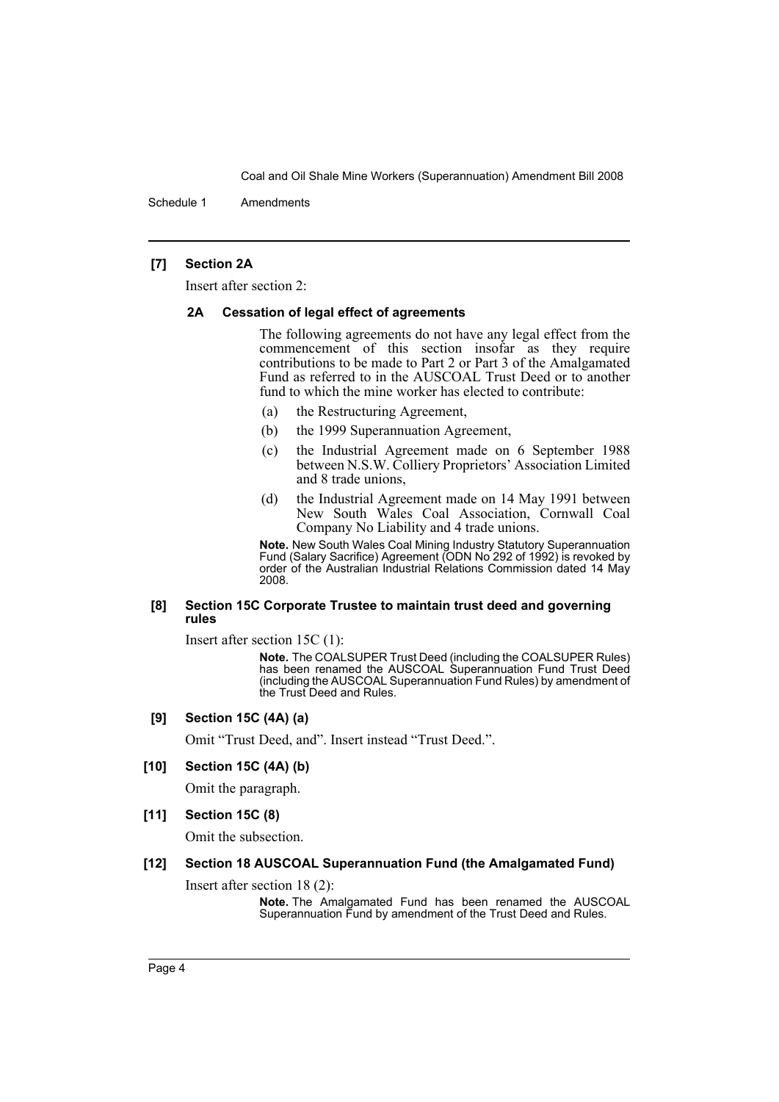Schedule 1 Amendments

# **[7] Section 2A**

Insert after section 2:

#### **2A Cessation of legal effect of agreements**

The following agreements do not have any legal effect from the commencement of this section insofar as they require contributions to be made to Part 2 or Part 3 of the Amalgamated Fund as referred to in the AUSCOAL Trust Deed or to another fund to which the mine worker has elected to contribute:

- (a) the Restructuring Agreement,
- (b) the 1999 Superannuation Agreement,
- (c) the Industrial Agreement made on 6 September 1988 between N.S.W. Colliery Proprietors' Association Limited and 8 trade unions,
- (d) the Industrial Agreement made on 14 May 1991 between New South Wales Coal Association, Cornwall Coal Company No Liability and 4 trade unions.

**Note.** New South Wales Coal Mining Industry Statutory Superannuation Fund (Salary Sacrifice) Agreement (ODN No 292 of 1992) is revoked by order of the Australian Industrial Relations Commission dated 14 May 2008.

#### **[8] Section 15C Corporate Trustee to maintain trust deed and governing rules**

Insert after section 15C (1):

**Note.** The COALSUPER Trust Deed (including the COALSUPER Rules) has been renamed the AUSCOAL Superannuation Fund Trust Deed (including the AUSCOAL Superannuation Fund Rules) by amendment of the Trust Deed and Rules.

#### **[9] Section 15C (4A) (a)**

Omit "Trust Deed, and". Insert instead "Trust Deed.".

#### **[10] Section 15C (4A) (b)**

Omit the paragraph.

#### **[11] Section 15C (8)**

Omit the subsection.

#### **[12] Section 18 AUSCOAL Superannuation Fund (the Amalgamated Fund)**

Insert after section 18 (2):

**Note.** The Amalgamated Fund has been renamed the AUSCOAL Superannuation Fund by amendment of the Trust Deed and Rules.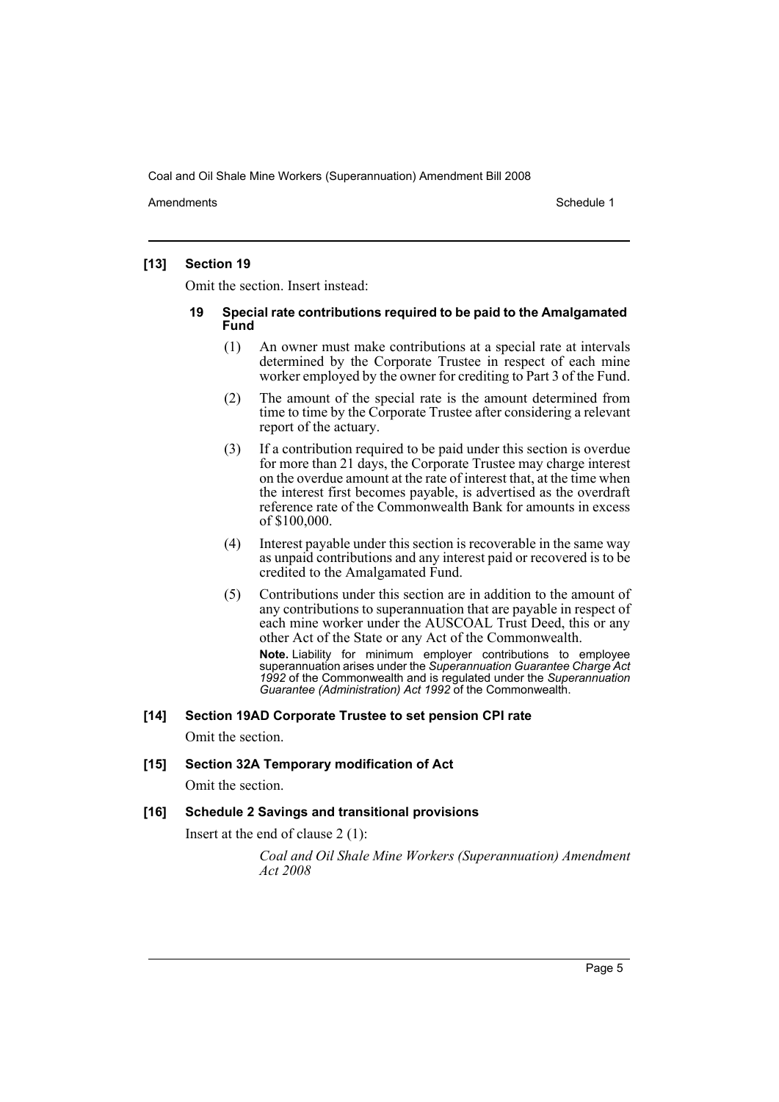Amendments **Amendments** Schedule 1

# **[13] Section 19**

Omit the section. Insert instead:

#### **19 Special rate contributions required to be paid to the Amalgamated Fund**

- (1) An owner must make contributions at a special rate at intervals determined by the Corporate Trustee in respect of each mine worker employed by the owner for crediting to Part 3 of the Fund.
- (2) The amount of the special rate is the amount determined from time to time by the Corporate Trustee after considering a relevant report of the actuary.
- (3) If a contribution required to be paid under this section is overdue for more than 21 days, the Corporate Trustee may charge interest on the overdue amount at the rate of interest that, at the time when the interest first becomes payable, is advertised as the overdraft reference rate of the Commonwealth Bank for amounts in excess of \$100,000.
- (4) Interest payable under this section is recoverable in the same way as unpaid contributions and any interest paid or recovered is to be credited to the Amalgamated Fund.
- (5) Contributions under this section are in addition to the amount of any contributions to superannuation that are payable in respect of each mine worker under the AUSCOAL Trust Deed, this or any other Act of the State or any Act of the Commonwealth. **Note.** Liability for minimum employer contributions to employee superannuation arises under the *Superannuation Guarantee Charge Act*

*1992* of the Commonwealth and is regulated under the *Superannuation Guarantee (Administration) Act 1992* of the Commonwealth.

# **[14] Section 19AD Corporate Trustee to set pension CPI rate**

Omit the section.

# **[15] Section 32A Temporary modification of Act**

Omit the section.

# **[16] Schedule 2 Savings and transitional provisions**

Insert at the end of clause 2 (1):

*Coal and Oil Shale Mine Workers (Superannuation) Amendment Act 2008*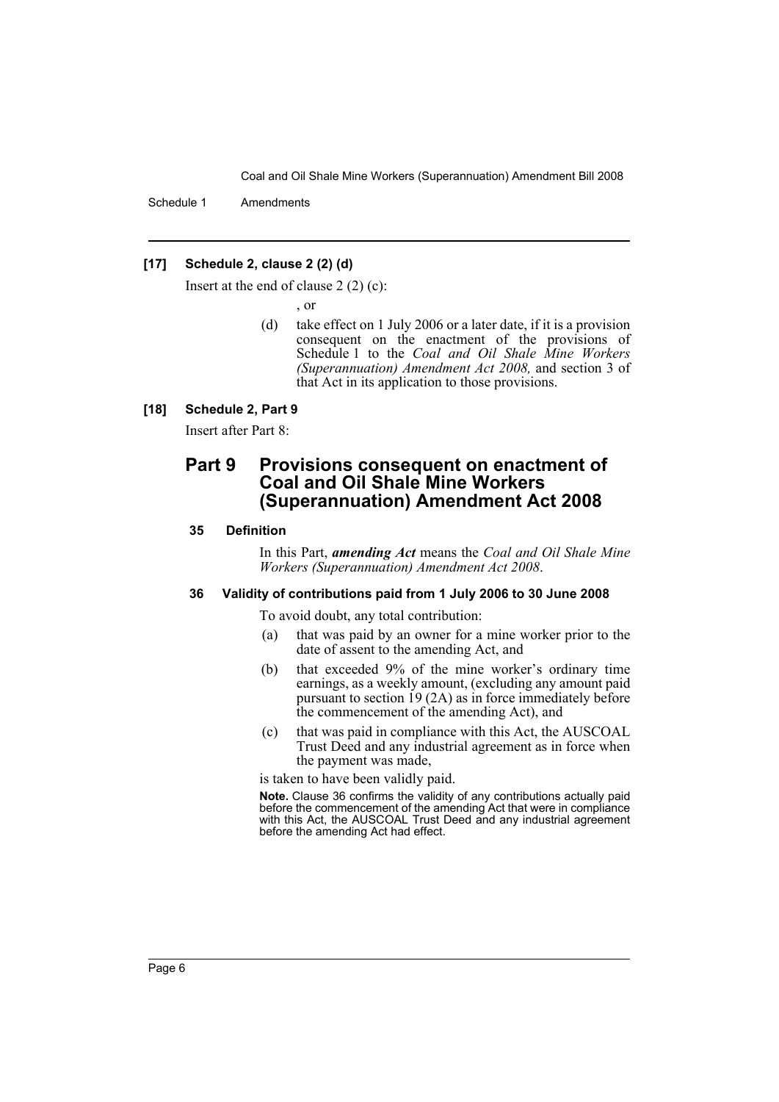Schedule 1 Amendments

## **[17] Schedule 2, clause 2 (2) (d)**

Insert at the end of clause 2 (2) (c):

, or

(d) take effect on 1 July 2006 or a later date, if it is a provision consequent on the enactment of the provisions of Schedule 1 to the *Coal and Oil Shale Mine Workers (Superannuation) Amendment Act 2008,* and section 3 of that Act in its application to those provisions.

#### **[18] Schedule 2, Part 9**

Insert after Part 8:

# **Part 9 Provisions consequent on enactment of Coal and Oil Shale Mine Workers (Superannuation) Amendment Act 2008**

#### **35 Definition**

In this Part, *amending Act* means the *Coal and Oil Shale Mine Workers (Superannuation) Amendment Act 2008*.

# **36 Validity of contributions paid from 1 July 2006 to 30 June 2008**

To avoid doubt, any total contribution:

- (a) that was paid by an owner for a mine worker prior to the date of assent to the amending Act, and
- (b) that exceeded 9% of the mine worker's ordinary time earnings, as a weekly amount, (excluding any amount paid pursuant to section 19 (2A) as in force immediately before the commencement of the amending Act), and
- (c) that was paid in compliance with this Act, the AUSCOAL Trust Deed and any industrial agreement as in force when the payment was made,

is taken to have been validly paid.

**Note.** Clause 36 confirms the validity of any contributions actually paid before the commencement of the amending Act that were in compliance with this Act, the AUSCOAL Trust Deed and any industrial agreement before the amending Act had effect.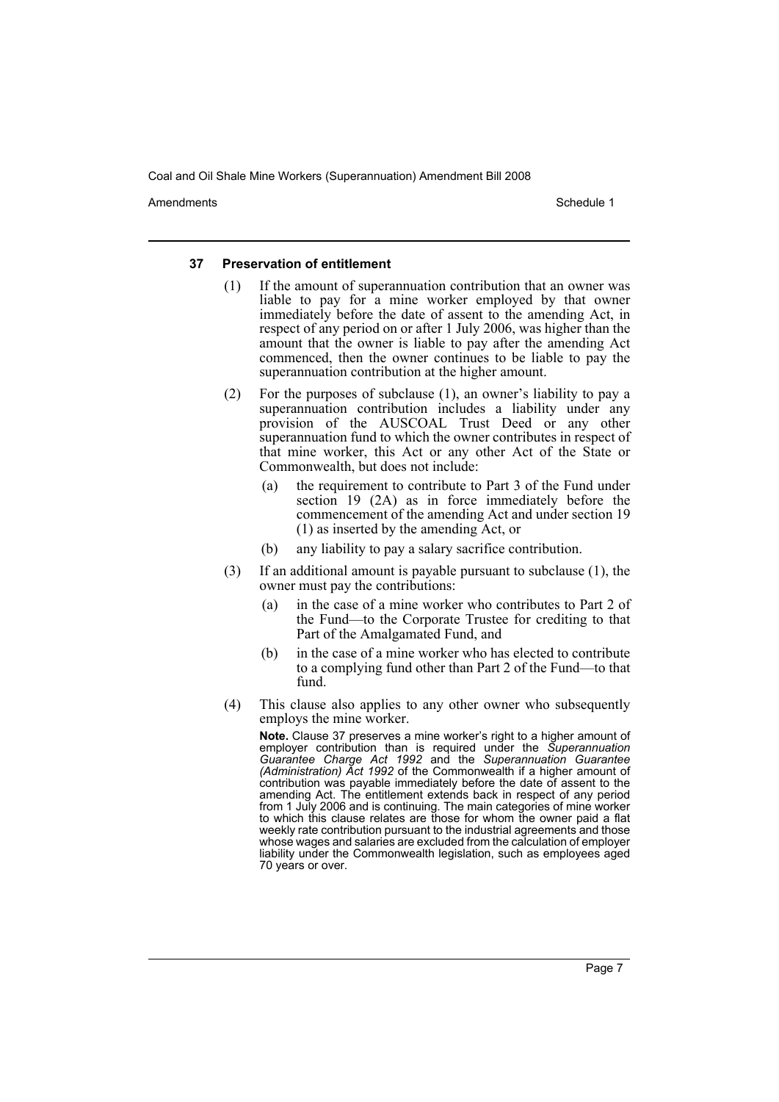Amendments **Amendments** Schedule 1

#### **37 Preservation of entitlement**

- (1) If the amount of superannuation contribution that an owner was liable to pay for a mine worker employed by that owner immediately before the date of assent to the amending Act, in respect of any period on or after 1 July 2006, was higher than the amount that the owner is liable to pay after the amending Act commenced, then the owner continues to be liable to pay the superannuation contribution at the higher amount.
- (2) For the purposes of subclause (1), an owner's liability to pay a superannuation contribution includes a liability under any provision of the AUSCOAL Trust Deed or any other superannuation fund to which the owner contributes in respect of that mine worker, this Act or any other Act of the State or Commonwealth, but does not include:
	- (a) the requirement to contribute to Part 3 of the Fund under section 19 (2A) as in force immediately before the commencement of the amending Act and under section 19 (1) as inserted by the amending Act, or
	- (b) any liability to pay a salary sacrifice contribution.
- (3) If an additional amount is payable pursuant to subclause (1), the owner must pay the contributions:
	- (a) in the case of a mine worker who contributes to Part 2 of the Fund—to the Corporate Trustee for crediting to that Part of the Amalgamated Fund, and
	- (b) in the case of a mine worker who has elected to contribute to a complying fund other than Part 2 of the Fund—to that fund.
- (4) This clause also applies to any other owner who subsequently employs the mine worker.

**Note.** Clause 37 preserves a mine worker's right to a higher amount of employer contribution than is required under the *Superannuation Guarantee Charge Act 1992* and the *Superannuation Guarantee (Administration) Act 1992* of the Commonwealth if a higher amount of contribution was payable immediately before the date of assent to the amending Act. The entitlement extends back in respect of any period from 1 July 2006 and is continuing. The main categories of mine worker to which this clause relates are those for whom the owner paid a flat weekly rate contribution pursuant to the industrial agreements and those whose wages and salaries are excluded from the calculation of employer liability under the Commonwealth legislation, such as employees aged 70 years or over.